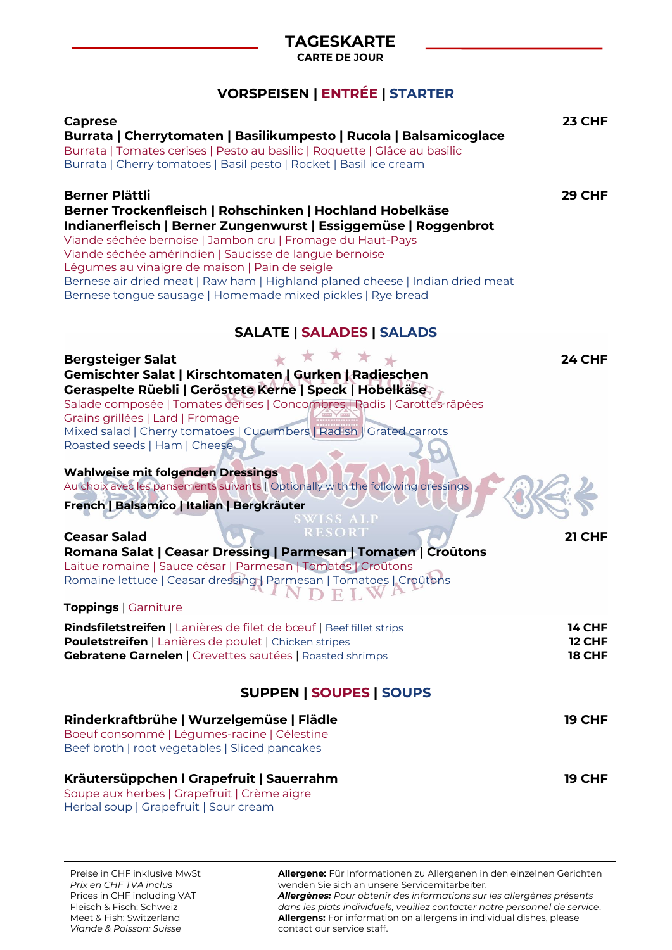## **TAGESKARTE**

**CARTE DE JOUR**

## **VORSPEISEN | ENTRÉE | STARTER**

| <b>Caprese</b>                                                                  | 23 CHF        |
|---------------------------------------------------------------------------------|---------------|
| Burrata   Cherrytomaten   Basilikumpesto   Rucola   Balsamicoglace              |               |
| Burrata   Tomates cerises   Pesto au basilic   Roquette   Glâce au basilic      |               |
| Burrata   Cherry tomatoes   Basil pesto   Rocket   Basil ice cream              |               |
|                                                                                 |               |
| <b>Berner Plättli</b>                                                           | <b>29 CHF</b> |
| Berner Trockenfleisch   Rohschinken   Hochland Hobelkäse                        |               |
| Indianerfleisch   Berner Zungenwurst   Essiggemüse   Roggenbrot                 |               |
| Viande séchée bernoise   Jambon cru   Fromage du Haut-Pays                      |               |
| Viande séchée amérindien   Saucisse de langue bernoise                          |               |
| Légumes au vinaigre de maison   Pain de seigle                                  |               |
| Bernese air dried meat   Raw ham   Highland planed cheese   Indian dried meat   |               |
|                                                                                 |               |
| Bernese tongue sausage   Homemade mixed pickles   Rye bread                     |               |
|                                                                                 |               |
| <b>SALATE   SALADES   SALADS</b>                                                |               |
|                                                                                 |               |
| 上女文<br><b>Bergsteiger Salat</b>                                                 | <b>24 CHF</b> |
| Gemischter Salat   Kirschtomaten   Gurken   Radieschen                          |               |
| Geraspelte Rüebli   Geröstete Kerne   Speck   Hobelkäse                         |               |
| Salade composée   Tomates cerises   Concombres   Radis   Carottes râpées        |               |
| Grains grillées   Lard   Fromage                                                |               |
| Mixed salad   Cherry tomatoes   Cucumbers   Radish   Grated carrots             |               |
| Roasted seeds   Ham   Cheese                                                    |               |
|                                                                                 |               |
| <b>Wahlweise mit folgenden Dressings</b>                                        |               |
| Au choix avec les pansements suivants   Optionally with the following dressings |               |
|                                                                                 |               |
| French   Balsamico   Italian   Bergkräuter<br><b>SWISS ALP</b>                  |               |
| <b>RESORT</b>                                                                   |               |
| <b>Ceasar Salad</b>                                                             | 21 CHF        |
| Romana Salat   Ceasar Dressing   Parmesan   Tomaten   Croûtons                  |               |
| Laitue romaine   Sauce césar   Parmesan   Tomates   Croûtons                    |               |
| Romaine lettuce   Ceasar dressing   Parmesan   Tomatoes   Croûtons              |               |
|                                                                                 |               |
| Toppings   Garniture                                                            |               |
| Rindsfiletstreifen   Lanières de filet de bœuf   Beef fillet strips             | <b>14 CHF</b> |
| Pouletstreifen   Lanières de poulet   Chicken stripes                           | <b>12 CHF</b> |
| <b>Gebratene Garnelen   Crevettes sautées   Roasted shrimps</b>                 | <b>18 CHF</b> |
|                                                                                 |               |
|                                                                                 |               |
| <b>SUPPEN   SOUPES   SOUPS</b>                                                  |               |
|                                                                                 |               |
| Rinderkraftbrühe   Wurzelgemüse   Flädle                                        | <b>19 CHF</b> |
| Boeuf consommé   Légumes-racine   Célestine                                     |               |
| Beef broth   root vegetables   Sliced pancakes                                  |               |
|                                                                                 |               |
| Kräutersüppchen I Grapefruit   Sauerrahm                                        | <b>19 CHF</b> |
| Soupe aux herbes   Grapefruit   Crème aigre                                     |               |
| Herbal soup   Grapefruit   Sour cream                                           |               |
|                                                                                 |               |

**Allergene:** Für Informationen zu Allergenen in den einzelnen Gerichten wenden Sie sich an unsere Servicemitarbeiter. *Allergènes: Pour obtenir des informations sur les allergènes présents dans les plats individuels, veuillez contacter notre personnel de service*. **Allergens:** For information on allergens in individual dishes, please contact our service staff.